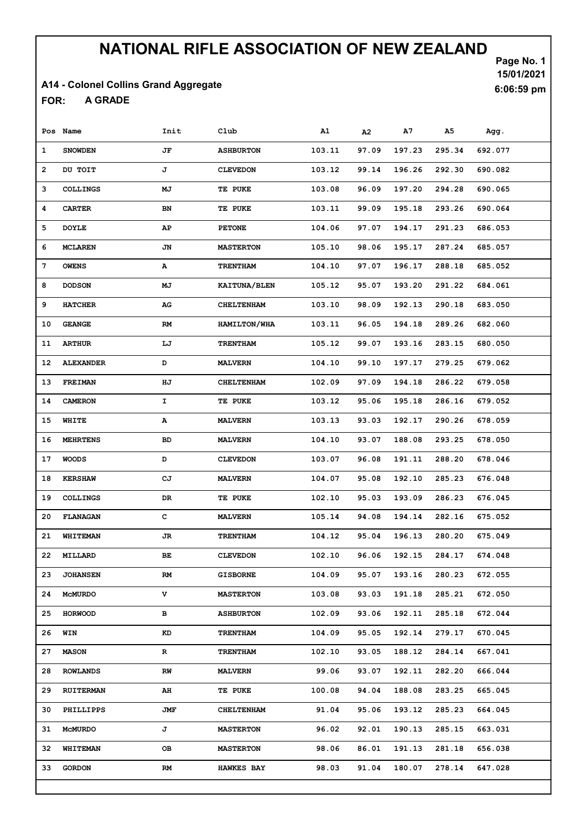### A14 - Colonel Collins Grand Aggregate

A GRADE FOR:

Page No. 1 15/01/2021 6:06:59 pm

|    | Pos Name         | Init | Club                | A1     | A <sub>2</sub> | A7     | А5     | Agg.    |
|----|------------------|------|---------------------|--------|----------------|--------|--------|---------|
| 1  | <b>SNOWDEN</b>   | JF   | <b>ASHBURTON</b>    | 103.11 | 97.09          | 197.23 | 295.34 | 692.077 |
| 2  | DU TOIT          | J    | <b>CLEVEDON</b>     | 103.12 | 99.14          | 196.26 | 292.30 | 690.082 |
| з  | <b>COLLINGS</b>  | MJ   | TE PUKE             | 103.08 | 96.09          | 197.20 | 294.28 | 690.065 |
| 4  | <b>CARTER</b>    | BN   | TE PUKE             | 103.11 | 99.09          | 195.18 | 293.26 | 690.064 |
| 5  | <b>DOYLE</b>     | AP   | <b>PETONE</b>       | 104.06 | 97.07          | 194.17 | 291.23 | 686.053 |
| 6  | <b>MCLAREN</b>   | JN   | <b>MASTERTON</b>    | 105.10 | 98.06          | 195.17 | 287.24 | 685.057 |
| 7  | <b>OWENS</b>     | А    | <b>TRENTHAM</b>     | 104.10 | 97.07          | 196.17 | 288.18 | 685.052 |
| 8  | <b>DODSON</b>    | MJ   | KAITUNA/BLEN        | 105.12 | 95.07          | 193.20 | 291.22 | 684.061 |
| 9  | <b>HATCHER</b>   | AG   | <b>CHELTENHAM</b>   | 103.10 | 98.09          | 192.13 | 290.18 | 683.050 |
| 10 | <b>GEANGE</b>    | RM   | <b>HAMILTON/WHA</b> | 103.11 | 96.05          | 194.18 | 289.26 | 682.060 |
| 11 | <b>ARTHUR</b>    | LJ   | <b>TRENTHAM</b>     | 105.12 | 99.07          | 193.16 | 283.15 | 680.050 |
| 12 | <b>ALEXANDER</b> | D    | <b>MALVERN</b>      | 104.10 | 99.10          | 197.17 | 279.25 | 679.062 |
| 13 | <b>FREIMAN</b>   | ΗJ   | <b>CHELTENHAM</b>   | 102.09 | 97.09          | 194.18 | 286.22 | 679.058 |
| 14 | <b>CAMERON</b>   | I.   | TE PUKE             | 103.12 | 95.06          | 195.18 | 286.16 | 679.052 |
| 15 | WHITE            | Α    | <b>MALVERN</b>      | 103.13 | 93.03          | 192.17 | 290.26 | 678.059 |
| 16 | <b>MEHRTENS</b>  | BD   | <b>MALVERN</b>      | 104.10 | 93.07          | 188.08 | 293.25 | 678.050 |
| 17 | <b>WOODS</b>     | D    | <b>CLEVEDON</b>     | 103.07 | 96.08          | 191.11 | 288.20 | 678.046 |
| 18 | <b>KERSHAW</b>   | СJ   | <b>MALVERN</b>      | 104.07 | 95.08          | 192.10 | 285.23 | 676.048 |
| 19 | <b>COLLINGS</b>  | DR   | TE PUKE             | 102.10 | 95.03          | 193.09 | 286.23 | 676.045 |
| 20 | <b>FLANAGAN</b>  | с    | <b>MALVERN</b>      | 105.14 | 94.08          | 194.14 | 282.16 | 675.052 |
| 21 | <b>WHITEMAN</b>  | JR   | <b>TRENTHAM</b>     | 104.12 | 95.04          | 196.13 | 280.20 | 675.049 |
| 22 | MILLARD          | BЕ.  | <b>CLEVEDON</b>     | 102.10 | 96.06          | 192.15 | 284.17 | 674.048 |
| 23 | <b>JOHANSEN</b>  | RM   | <b>GISBORNE</b>     | 104.09 | 95.07          | 193.16 | 280.23 | 672.055 |
| 24 | <b>MCMURDO</b>   | v    | <b>MASTERTON</b>    | 103.08 | 93.03          | 191.18 | 285.21 | 672.050 |
| 25 | <b>HORWOOD</b>   | в    | <b>ASHBURTON</b>    | 102.09 | 93.06          | 192.11 | 285.18 | 672.044 |
| 26 | WIN              | KD   | <b>TRENTHAM</b>     | 104.09 | 95.05          | 192.14 | 279.17 | 670.045 |
| 27 | <b>MASON</b>     | R    | <b>TRENTHAM</b>     | 102.10 | 93.05          | 188.12 | 284.14 | 667.041 |
| 28 | <b>ROWLANDS</b>  | RW   | <b>MALVERN</b>      | 99.06  | 93.07          | 192.11 | 282.20 | 666.044 |
| 29 | <b>RUITERMAN</b> | AH   | TE PUKE             | 100.08 | 94.04          | 188.08 | 283.25 | 665.045 |
| 30 | PHILLIPPS        | JMF  | <b>CHELTENHAM</b>   | 91.04  | 95.06          | 193.12 | 285.23 | 664.045 |
| 31 | <b>MCMURDO</b>   | J    | <b>MASTERTON</b>    | 96.02  | 92.01          | 190.13 | 285.15 | 663.031 |
| 32 | WHITEMAN         | OВ   | <b>MASTERTON</b>    | 98.06  | 86.01          | 191.13 | 281.18 | 656.038 |
| 33 | <b>GORDON</b>    | RM   | <b>HAWKES BAY</b>   | 98.03  | 91.04          | 180.07 | 278.14 | 647.028 |
|    |                  |      |                     |        |                |        |        |         |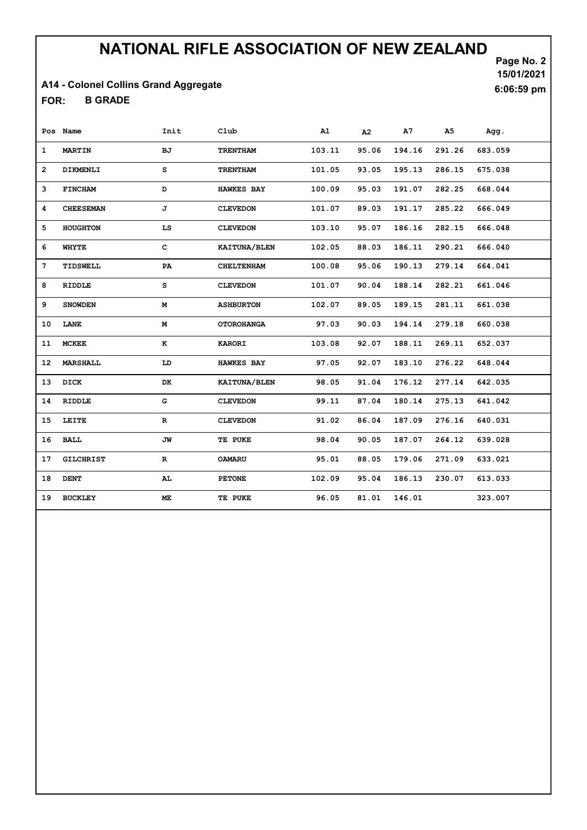### A14 - Colonel Collins Grand Aggregate

B GRADE FOR:

Page No. 2 15/01/2021 6:06:59 pm

|    | Pos Name         | Init        | Club                | A1     | A2    | A7     | A5     | Agg.    |
|----|------------------|-------------|---------------------|--------|-------|--------|--------|---------|
| 1  | <b>MARTIN</b>    | ВJ          | <b>TRENTHAM</b>     | 103.11 | 95.06 | 194.16 | 291.26 | 683.059 |
| 2  | DIKMENLI         | s           | <b>TRENTHAM</b>     | 101.05 | 93.05 | 195.13 | 286.15 | 675.038 |
| 3  | <b>FINCHAM</b>   | D           | <b>HAWKES BAY</b>   | 100.09 | 95.03 | 191.07 | 282.25 | 668.044 |
| 4  | <b>CHEESEMAN</b> | J           | <b>CLEVEDON</b>     | 101.07 | 89.03 | 191.17 | 285.22 | 666.049 |
| 5  | <b>HOUGHTON</b>  | LS          | <b>CLEVEDON</b>     | 103.10 | 95.07 | 186.16 | 282.15 | 666.048 |
| 6  | WHYTE            | с           | <b>KAITUNA/BLEN</b> | 102.05 | 88.03 | 186.11 | 290.21 | 666.040 |
| 7  | TIDSWELL         | PA          | <b>CHELTENHAM</b>   | 100.08 | 95.06 | 190.13 | 279.14 | 664.041 |
| 8  | RIDDLE           | s           | <b>CLEVEDON</b>     | 101.07 | 90.04 | 188.14 | 282.21 | 661.046 |
| 9  | <b>SNOWDEN</b>   | М           | <b>ASHBURTON</b>    | 102.07 | 89.05 | 189.15 | 281.11 | 661.038 |
| 10 | LANE             | М           | <b>OTOROHANGA</b>   | 97.03  | 90.03 | 194.14 | 279.18 | 660.038 |
| 11 | <b>MCKEE</b>     | $\bf K$     | <b>KARORI</b>       | 103.08 | 92.07 | 188.11 | 269.11 | 652.037 |
| 12 | <b>MARSHALL</b>  | LD          | <b>HAWKES BAY</b>   | 97.05  | 92.07 | 183.10 | 276.22 | 648.044 |
| 13 | DICK             | DK          | KAITUNA/BLEN        | 98.05  | 91.04 | 176.12 | 277.14 | 642.035 |
| 14 | <b>RIDDLE</b>    | G           | <b>CLEVEDON</b>     | 99.11  | 87.04 | 180.14 | 275.13 | 641.042 |
| 15 | LEITE            | $\mathbf R$ | <b>CLEVEDON</b>     | 91.02  | 86.04 | 187.09 | 276.16 | 640.031 |
| 16 | <b>BALL</b>      | JW          | TE PUKE             | 98.04  | 90.05 | 187.07 | 264.12 | 639.028 |
| 17 | <b>GILCHRIST</b> | R           | <b>OAMARU</b>       | 95.01  | 88.05 | 179.06 | 271.09 | 633.021 |
| 18 | DENT             | AL.         | <b>PETONE</b>       | 102.09 | 95.04 | 186.13 | 230.07 | 613.033 |
| 19 | <b>BUCKLEY</b>   | ME.         | TE PUKE             | 96.05  | 81.01 | 146.01 |        | 323.007 |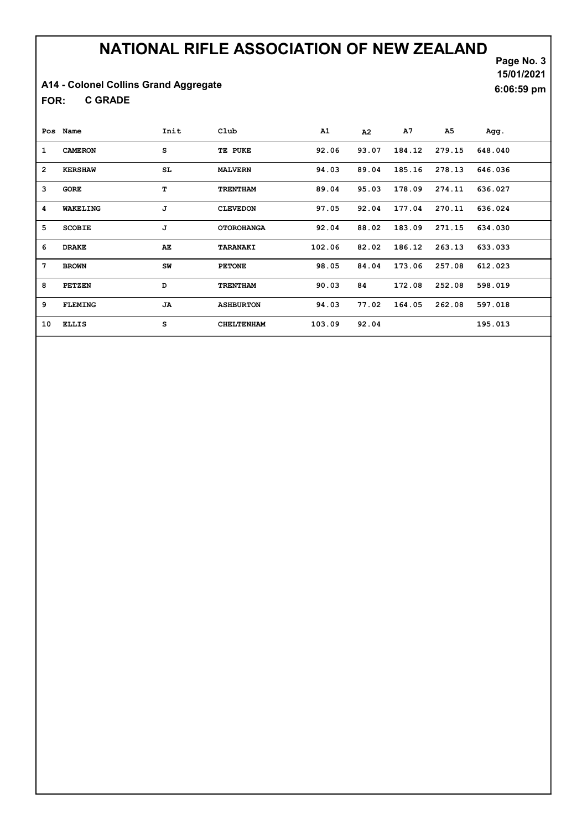A14 - Colonel Collins Grand Aggregate

C GRADE FOR:

Page No. 3 15/01/2021 6:06:59 pm

|                 | Pos Name       | Init      | Club              | A1     | A2    | A7     | A5     | Agg.    |
|-----------------|----------------|-----------|-------------------|--------|-------|--------|--------|---------|
| 1               | <b>CAMERON</b> | s         | TE PUKE           | 92.06  | 93.07 | 184.12 | 279.15 | 648.040 |
| $\overline{2}$  | <b>KERSHAW</b> | SL.       | <b>MALVERN</b>    | 94.03  | 89.04 | 185.16 | 278.13 | 646.036 |
| 3               | <b>GORE</b>    | т         | <b>TRENTHAM</b>   | 89.04  | 95.03 | 178.09 | 274.11 | 636.027 |
| 4               | WAKELING       | J         | <b>CLEVEDON</b>   | 97.05  | 92.04 | 177.04 | 270.11 | 636.024 |
| 5               | <b>SCOBIE</b>  | J         | <b>OTOROHANGA</b> | 92.04  | 88.02 | 183.09 | 271.15 | 634.030 |
| 6               | <b>DRAKE</b>   | AE.       | TARANAKI          | 102.06 | 82.02 | 186.12 | 263.13 | 633.033 |
| $7\phantom{.0}$ | <b>BROWN</b>   | SW        | <b>PETONE</b>     | 98.05  | 84.04 | 173.06 | 257.08 | 612.023 |
| 8               | PETZEN         | D         | <b>TRENTHAM</b>   | 90.03  | 84    | 172.08 | 252.08 | 598.019 |
| 9               | <b>FLEMING</b> | <b>JA</b> | <b>ASHBURTON</b>  | 94.03  | 77.02 | 164.05 | 262.08 | 597.018 |
| 10              | <b>ELLIS</b>   | s         | <b>CHELTENHAM</b> | 103.09 | 92.04 |        |        | 195.013 |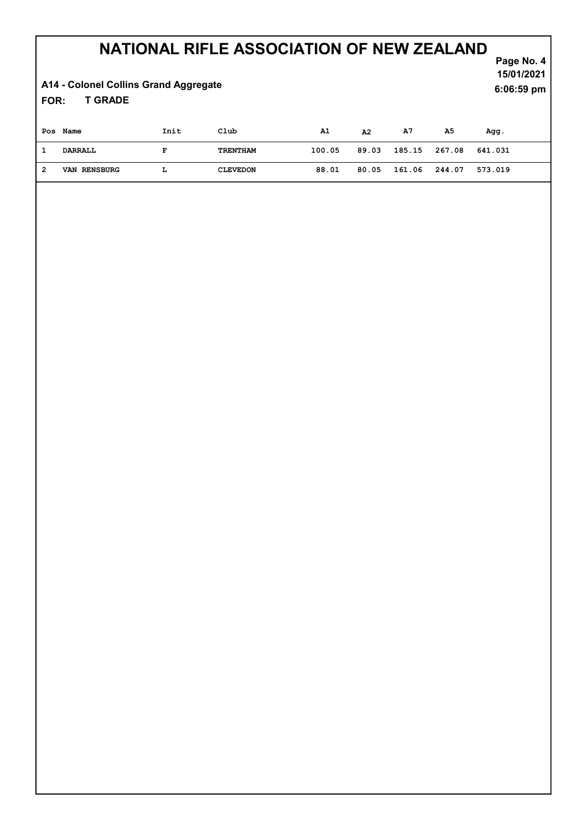#### Page No. 4 NATIONAL RIFLE ASSOCIATION OF NEW ZEALAND

15/01/2021

6:06:59 pm

A14 - Colonel Collins Grand Aggregate

T GRADE FOR:

|   | Pos Name            | Init | Club            | A1     | A2    | A7            | A5 | Agg.    |
|---|---------------------|------|-----------------|--------|-------|---------------|----|---------|
|   | DARRALL             | F    | TRENTHAM        | 100.05 | 89.03 | 185.15 267.08 |    | 641.031 |
| 2 | <b>VAN RENSBURG</b> |      | <b>CLEVEDON</b> | 88.01  | 80.05 | 161.06 244.07 |    | 573.019 |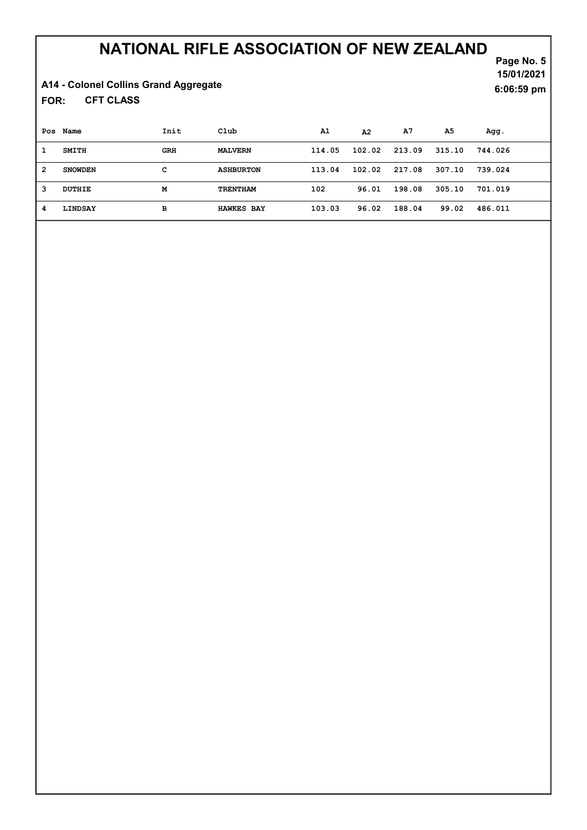A14 - Colonel Collins Grand Aggregate

CFT CLASS FOR:

|                | Pos Name       | Init       | Club              | A1     | A2     | A7     | A5     | Agg.    |
|----------------|----------------|------------|-------------------|--------|--------|--------|--------|---------|
| 1              | <b>SMITH</b>   | <b>GRH</b> | <b>MALVERN</b>    | 114.05 | 102.02 | 213.09 | 315.10 | 744.026 |
| $\overline{2}$ | <b>SNOWDEN</b> | с          | <b>ASHBURTON</b>  | 113.04 | 102.02 | 217.08 | 307.10 | 739.024 |
| 3              | DUTHIE         | М          | <b>TRENTHAM</b>   | 102    | 96.01  | 198.08 | 305.10 | 701.019 |
| 4              | LINDSAY        | в          | <b>HAWKES BAY</b> | 103.03 | 96.02  | 188.04 | 99.02  | 486.011 |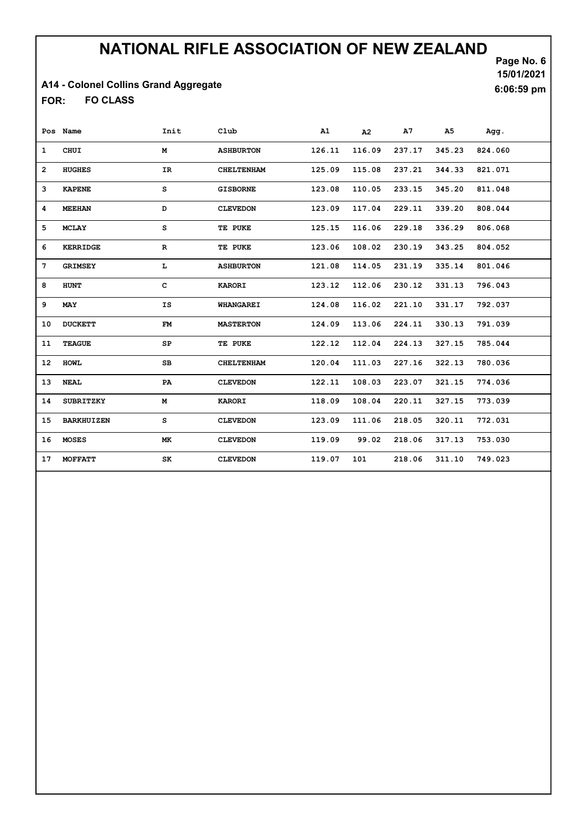### A14 - Colonel Collins Grand Aggregate

FO CLASS FOR:

Page No. 6 15/01/2021 6:06:59 pm

|    | Pos Name          | Init        | Club              | A1     | A2     | A7     | A <sub>5</sub> | Agg.    |
|----|-------------------|-------------|-------------------|--------|--------|--------|----------------|---------|
| 1  | CHUI              | М           | <b>ASHBURTON</b>  | 126.11 | 116.09 | 237.17 | 345.23         | 824.060 |
| 2  | <b>HUGHES</b>     | <b>IR</b>   | <b>CHELTENHAM</b> | 125.09 | 115.08 | 237.21 | 344.33         | 821.071 |
| 3  | <b>KAPENE</b>     | s           | <b>GISBORNE</b>   | 123.08 | 110.05 | 233.15 | 345.20         | 811.048 |
| 4  | <b>MEEHAN</b>     | D           | <b>CLEVEDON</b>   | 123.09 | 117.04 | 229.11 | 339.20         | 808.044 |
| 5  | <b>MCLAY</b>      | s           | TE PUKE           | 125.15 | 116.06 | 229.18 | 336.29         | 806.068 |
| 6  | <b>KERRIDGE</b>   | ${\bf R}$   | TE PUKE           | 123.06 | 108.02 | 230.19 | 343.25         | 804.052 |
| 7  | <b>GRIMSEY</b>    | г           | <b>ASHBURTON</b>  | 121.08 | 114.05 | 231.19 | 335.14         | 801.046 |
| 8  | <b>HUNT</b>       | c           | <b>KARORI</b>     | 123.12 | 112.06 | 230.12 | 331.13         | 796.043 |
| 9  | MAY               | IS          | <b>WHANGAREI</b>  | 124.08 | 116.02 | 221.10 | 331.17         | 792.037 |
| 10 | <b>DUCKETT</b>    | FM          | <b>MASTERTON</b>  | 124.09 | 113.06 | 224.11 | 330.13         | 791.039 |
| 11 | <b>TEAGUE</b>     | SP          | TE PUKE           | 122.12 | 112.04 | 224.13 | 327.15         | 785.044 |
| 12 | <b>HOWL</b>       | $_{\rm SB}$ | <b>CHELTENHAM</b> | 120.04 | 111.03 | 227.16 | 322.13         | 780.036 |
| 13 | <b>NEAL</b>       | PA          | <b>CLEVEDON</b>   | 122.11 | 108.03 | 223.07 | 321.15         | 774.036 |
| 14 | <b>SUBRITZKY</b>  | М           | <b>KARORI</b>     | 118.09 | 108.04 | 220.11 | 327.15         | 773.039 |
| 15 | <b>BARKHUIZEN</b> | s           | <b>CLEVEDON</b>   | 123.09 | 111.06 | 218.05 | 320.11         | 772.031 |
| 16 | <b>MOSES</b>      | МK          | <b>CLEVEDON</b>   | 119.09 | 99.02  | 218.06 | 317.13         | 753.030 |
| 17 | MOFFATT           | SK          | <b>CLEVEDON</b>   | 119.07 | 101    | 218.06 | 311.10         | 749.023 |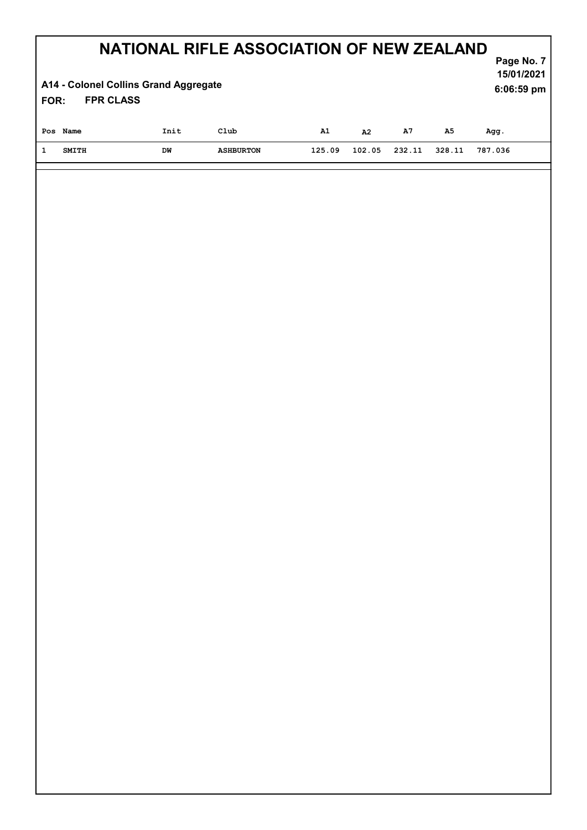| NATIONAL RIFLE ASSOCIATION OF NEW ZEALAND<br>Page No. 7<br>15/01/2021<br>A14 - Colonel Collins Grand Aggregate<br>6:06:59 pm<br><b>FPR CLASS</b><br>FOR: |                 |                  |        |        |            |            |         |  |  |  |
|----------------------------------------------------------------------------------------------------------------------------------------------------------|-----------------|------------------|--------|--------|------------|------------|---------|--|--|--|
| Pos Name                                                                                                                                                 | $\texttt{Init}$ | $\verb Club $    | A1     | A2     | ${\bf A7}$ | ${\bf A5}$ | Agg.    |  |  |  |
| $\mathbf{1}$<br><b>SMITH</b>                                                                                                                             | DW              | <b>ASHBURTON</b> | 125.09 | 102.05 | 232.11     | 328.11     | 787.036 |  |  |  |
|                                                                                                                                                          |                 |                  |        |        |            |            |         |  |  |  |
|                                                                                                                                                          |                 |                  |        |        |            |            |         |  |  |  |
|                                                                                                                                                          |                 |                  |        |        |            |            |         |  |  |  |